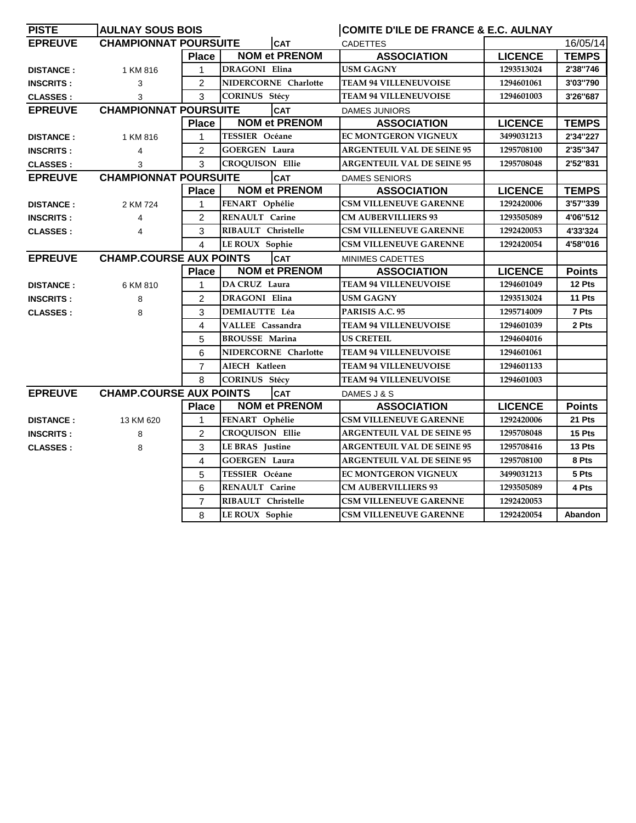| <b>PISTE</b>                                                                       | <b>AULNAY SOUS BOIS</b>                                     |                |                        | COMITE D'ILE DE FRANCE & E.C. AULNAY |                |               |
|------------------------------------------------------------------------------------|-------------------------------------------------------------|----------------|------------------------|--------------------------------------|----------------|---------------|
| <b>EPREUVE</b>                                                                     | <b>CHAMPIONNAT POURSUITE</b>                                |                | <b>CAT</b>             | <b>CADETTES</b>                      |                | 16/05/14      |
|                                                                                    |                                                             | <b>Place</b>   | <b>NOM et PRENOM</b>   | <b>ASSOCIATION</b>                   | <b>LICENCE</b> | <b>TEMPS</b>  |
| <b>DISTANCE:</b>                                                                   | 1 KM 816                                                    | 1              | DRAGONI Elina          | <b>USM GAGNY</b>                     | 1293513024     | 2'38"746      |
| <b>INSCRITS:</b>                                                                   | 3                                                           | $\overline{c}$ | NIDERCORNE Charlotte   | <b>TEAM 94 VILLENEUVOISE</b>         | 1294601061     | 3'03"790      |
| <b>CLASSES:</b>                                                                    | 3                                                           | 3              | <b>CORINUS Stécy</b>   | <b>TEAM 94 VILLENEUVOISE</b>         | 1294601003     | 3'26"687      |
| <b>EPREUVE</b>                                                                     | <b>CHAMPIONNAT POURSUITE</b>                                |                | <b>CAT</b>             | <b>DAMES JUNIORS</b>                 |                |               |
|                                                                                    |                                                             | <b>Place</b>   | <b>NOM et PRENOM</b>   | <b>ASSOCIATION</b>                   | <b>LICENCE</b> | <b>TEMPS</b>  |
| <b>DISTANCE:</b>                                                                   | 1 KM 816                                                    | 1              | TESSIER Océane         | EC MONTGERON VIGNEUX                 | 3499031213     | 2'34"227      |
| <b>INSCRITS:</b>                                                                   | 4                                                           | $\overline{2}$ | <b>GOERGEN Laura</b>   | <b>ARGENTEUIL VAL DE SEINE 95</b>    | 1295708100     | 2'35"347      |
| <b>CLASSES:</b>                                                                    | 3                                                           | 3              | <b>CROQUISON Ellie</b> | <b>ARGENTEUIL VAL DE SEINE 95</b>    | 1295708048     | 2'52"831      |
| <b>EPREUVE</b>                                                                     | <b>CHAMPIONNAT POURSUITE</b>                                |                | <b>CAT</b>             | <b>DAMES SENIORS</b>                 |                |               |
|                                                                                    |                                                             | <b>Place</b>   | <b>NOM et PRENOM</b>   | <b>ASSOCIATION</b>                   | <b>LICENCE</b> | <b>TEMPS</b>  |
| <b>DISTANCE:</b>                                                                   | 2 KM 724                                                    | 1              | FENART Ophélie         | <b>CSM VILLENEUVE GARENNE</b>        | 1292420006     | 3'57"339      |
| <b>INSCRITS:</b>                                                                   | 4                                                           | $\overline{2}$ | RENAULT Carine         | <b>CM AUBERVILLIERS 93</b>           | 1293505089     | 4'06"512      |
| <b>CLASSES:</b>                                                                    | 4                                                           | 3              | RIBAULT Christelle     | <b>CSM VILLENEUVE GARENNE</b>        | 1292420053     | 4'33'324      |
|                                                                                    |                                                             | 4              | LE ROUX Sophie         | <b>CSM VILLENEUVE GARENNE</b>        | 1292420054     | 4'58"016      |
| <b>CHAMP.COURSE AUX POINTS</b><br><b>EPREUVE</b><br><b>CAT</b><br>MINIMES CADETTES |                                                             |                |                        |                                      |                |               |
|                                                                                    |                                                             | <b>Place</b>   | <b>NOM et PRENOM</b>   | <b>ASSOCIATION</b>                   | <b>LICENCE</b> | <b>Points</b> |
| <b>DISTANCE:</b>                                                                   | 6 KM 810                                                    | 1              | DA CRUZ Laura          | <b>TEAM 94 VILLENEUVOISE</b>         | 1294601049     | 12 Pts        |
| <b>INSCRITS:</b>                                                                   | 8                                                           | $\overline{c}$ | DRAGONI Elina          | <b>USM GAGNY</b>                     | 1293513024     | 11 Pts        |
| <b>CLASSES:</b>                                                                    | 8                                                           | 3              | <b>DEMIAUTTE Léa</b>   | PARISIS A.C. 95                      | 1295714009     | 7 Pts         |
|                                                                                    |                                                             | 4              | VALLEE Cassandra       | <b>TEAM 94 VILLENEUVOISE</b>         | 1294601039     | 2 Pts         |
|                                                                                    |                                                             | 5              | <b>BROUSSE Marina</b>  | <b>US CRETEIL</b>                    | 1294604016     |               |
|                                                                                    |                                                             | 6              | NIDERCORNE Charlotte   | <b>TEAM 94 VILLENEUVOISE</b>         | 1294601061     |               |
|                                                                                    |                                                             | $\overline{7}$ | AIECH Katleen          | <b>TEAM 94 VILLENEUVOISE</b>         | 1294601133     |               |
|                                                                                    |                                                             | 8              | <b>CORINUS Stécy</b>   | <b>TEAM 94 VILLENEUVOISE</b>         | 1294601003     |               |
| <b>EPREUVE</b>                                                                     | <b>CHAMP.COURSE AUX POINTS</b><br><b>CAT</b><br>DAMES J & S |                |                        |                                      |                |               |
|                                                                                    |                                                             | <b>Place</b>   | <b>NOM et PRENOM</b>   | <b>ASSOCIATION</b>                   | <b>LICENCE</b> | <b>Points</b> |
| <b>DISTANCE:</b>                                                                   | 13 KM 620                                                   | 1              | FENART Ophélie         | <b>CSM VILLENEUVE GARENNE</b>        | 1292420006     | 21 Pts        |
| <b>INSCRITS:</b>                                                                   | 8                                                           | $\overline{c}$ | <b>CROQUISON Ellie</b> | <b>ARGENTEUIL VAL DE SEINE 95</b>    | 1295708048     | 15 Pts        |
| <b>CLASSES:</b>                                                                    | 8                                                           | 3              | <b>LE BRAS</b> Justine | <b>ARGENTEUIL VAL DE SEINE 95</b>    | 1295708416     | 13 Pts        |
|                                                                                    |                                                             | 4              | <b>GOERGEN Laura</b>   | <b>ARGENTEUIL VAL DE SEINE 95</b>    | 1295708100     | 8 Pts         |
|                                                                                    |                                                             | 5              | TESSIER Océane         | EC MONTGERON VIGNEUX                 | 3499031213     | 5 Pts         |
|                                                                                    |                                                             | 6              | <b>RENAULT Carine</b>  | <b>CM AUBERVILLIERS 93</b>           | 1293505089     | 4 Pts         |
|                                                                                    |                                                             | $\overline{7}$ | RIBAULT Christelle     | <b>CSM VILLENEUVE GARENNE</b>        | 1292420053     |               |
|                                                                                    |                                                             | 8              | <b>LE ROUX</b> Sophie  | <b>CSM VILLENEUVE GARENNE</b>        | 1292420054     | Abandon       |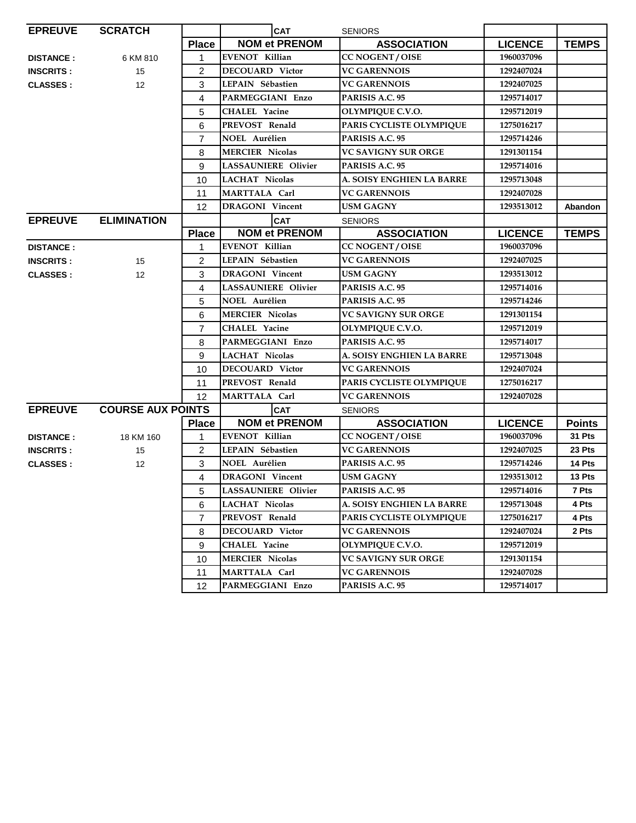| <b>EPREUVE</b>                             | <b>SCRATCH</b>     |                | <b>CAT</b>                 | <b>SENIORS</b>             |                |               |
|--------------------------------------------|--------------------|----------------|----------------------------|----------------------------|----------------|---------------|
|                                            |                    | <b>Place</b>   | <b>NOM et PRENOM</b>       | <b>ASSOCIATION</b>         | <b>LICENCE</b> | <b>TEMPS</b>  |
| <b>DISTANCE:</b>                           | 6 KM 810           | 1              | <b>EVENOT Killian</b>      | CC NOGENT / OISE           | 1960037096     |               |
| <b>INSCRITS:</b>                           | 15                 | $\overline{c}$ | <b>DECOUARD Victor</b>     | <b>VC GARENNOIS</b>        | 1292407024     |               |
| <b>CLASSES:</b>                            | 12                 | 3              | LEPAIN Sébastien           | <b>VC GARENNOIS</b>        | 1292407025     |               |
|                                            |                    | 4              | PARMEGGIANI Enzo           | PARISIS A.C. 95            | 1295714017     |               |
|                                            |                    | 5              | <b>CHALEL Yacine</b>       | OLYMPIQUE C.V.O.           | 1295712019     |               |
|                                            |                    | 6              | PREVOST Renald             | PARIS CYCLISTE OLYMPIQUE   | 1275016217     |               |
|                                            |                    | $\overline{7}$ | NOEL Aurélien              | PARISIS A.C. 95            | 1295714246     |               |
|                                            |                    | 8              | <b>MERCIER Nicolas</b>     | <b>VC SAVIGNY SUR ORGE</b> | 1291301154     |               |
|                                            |                    | 9              | <b>LASSAUNIERE Olivier</b> | PARISIS A.C. 95            | 1295714016     |               |
|                                            |                    | 10             | <b>LACHAT Nicolas</b>      | A. SOISY ENGHIEN LA BARRE  | 1295713048     |               |
|                                            |                    | 11             | MARTTALA Carl              | <b>VC GARENNOIS</b>        | 1292407028     |               |
|                                            |                    | 12             | <b>DRAGONI Vincent</b>     | <b>USM GAGNY</b>           | 1293513012     | Abandon       |
| <b>EPREUVE</b>                             | <b>ELIMINATION</b> |                | <b>CAT</b>                 | <b>SENIORS</b>             |                |               |
|                                            |                    | <b>Place</b>   | <b>NOM et PRENOM</b>       | <b>ASSOCIATION</b>         | <b>LICENCE</b> | <b>TEMPS</b>  |
| <b>DISTANCE:</b>                           |                    | 1              | <b>EVENOT Killian</b>      | <b>CC NOGENT / OISE</b>    | 1960037096     |               |
| <b>INSCRITS:</b>                           | 15                 | 2              | LEPAIN Sébastien           | <b>VC GARENNOIS</b>        | 1292407025     |               |
| <b>CLASSES:</b>                            | 12                 | 3              | <b>DRAGONI</b> Vincent     | <b>USM GAGNY</b>           | 1293513012     |               |
|                                            |                    | 4              | <b>LASSAUNIERE Olivier</b> | PARISIS A.C. 95            | 1295714016     |               |
|                                            |                    | 5              | <b>NOEL Aurélien</b>       | PARISIS A.C. 95            | 1295714246     |               |
|                                            |                    | 6              | <b>MERCIER Nicolas</b>     | VC SAVIGNY SUR ORGE        | 1291301154     |               |
|                                            |                    | $\overline{7}$ | <b>CHALEL Yacine</b>       | <b>OLYMPIQUE C.V.O.</b>    | 1295712019     |               |
|                                            |                    | 8              | PARMEGGIANI Enzo           | PARISIS A.C. 95            | 1295714017     |               |
|                                            |                    | 9              | <b>LACHAT Nicolas</b>      | A. SOISY ENGHIEN LA BARRE  | 1295713048     |               |
|                                            |                    | 10             | <b>DECOUARD Victor</b>     | <b>VC GARENNOIS</b>        | 1292407024     |               |
|                                            |                    | 11             | PREVOST Renald             | PARIS CYCLISTE OLYMPIQUE   | 1275016217     |               |
|                                            |                    | 12             | MARTTALA Carl              | <b>VC GARENNOIS</b>        | 1292407028     |               |
| <b>EPREUVE</b><br><b>COURSE AUX POINTS</b> |                    |                | <b>CAT</b>                 | <b>SENIORS</b>             |                |               |
|                                            |                    | <b>Place</b>   | <b>NOM et PRENOM</b>       | <b>ASSOCIATION</b>         | <b>LICENCE</b> | <b>Points</b> |
| <b>DISTANCE:</b>                           | 18 KM 160          | 1              | <b>EVENOT Killian</b>      | CC NOGENT / OISE           | 1960037096     | 31 Pts        |
| <b>INSCRITS:</b>                           | 15                 | $\overline{c}$ | LEPAIN Sébastien           | <b>VC GARENNOIS</b>        | 1292407025     | 23 Pts        |
| <b>CLASSES:</b>                            | 12                 | 3              | <b>NOEL Aurélien</b>       | PARISIS A.C. 95            | 1295714246     | 14 Pts        |
|                                            |                    | $\overline{4}$ | <b>DRAGONI</b> Vincent     | <b>USM GAGNY</b>           | 1293513012     | 13 Pts        |
|                                            |                    | 5              | LASSAUNIERE Olivier        | PARISIS A.C. 95            | 1295714016     | 7 Pts         |
|                                            |                    | 6              | <b>LACHAT Nicolas</b>      | A. SOISY ENGHIEN LA BARRE  | 1295713048     | 4 Pts         |
|                                            |                    | 7              | PREVOST Renald             | PARIS CYCLISTE OLYMPIQUE   | 1275016217     | 4 Pts         |
|                                            |                    | 8              | DECOUARD Victor            | <b>VC GARENNOIS</b>        | 1292407024     | 2 Pts         |
|                                            |                    | 9              | <b>CHALEL Yacine</b>       | OLYMPIQUE C.V.O.           | 1295712019     |               |
|                                            |                    | 10             | <b>MERCIER Nicolas</b>     | VC SAVIGNY SUR ORGE        | 1291301154     |               |
|                                            |                    | 11             | MARTTALA Carl              | <b>VC GARENNOIS</b>        | 1292407028     |               |
|                                            |                    | 12             | PARMEGGIANI Enzo           | PARISIS A.C. 95            | 1295714017     |               |